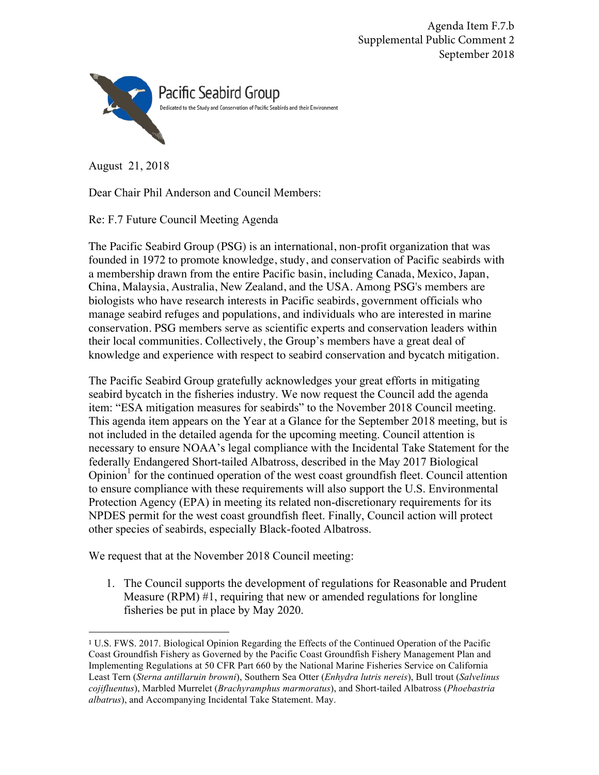Agenda Item F.7.b Supplemental Public Comment 2 September 2018



August 21, 2018

Dear Chair Phil Anderson and Council Members:

Re: F.7 Future Council Meeting Agenda

The Pacific Seabird Group (PSG) is an international, non-profit organization that was founded in 1972 to promote knowledge, study, and conservation of Pacific seabirds with a membership drawn from the entire Pacific basin, including Canada, Mexico, Japan, China, Malaysia, Australia, New Zealand, and the USA. Among PSG's members are biologists who have research interests in Pacific seabirds, government officials who manage seabird refuges and populations, and individuals who are interested in marine conservation. PSG members serve as scientific experts and conservation leaders within their local communities. Collectively, the Group's members have a great deal of knowledge and experience with respect to seabird conservation and bycatch mitigation.

The Pacific Seabird Group gratefully acknowledges your great efforts in mitigating seabird bycatch in the fisheries industry. We now request the Council add the agenda item: "ESA mitigation measures for seabirds" to the November 2018 Council meeting. This agenda item appears on the Year at a Glance for the September 2018 meeting, but is not included in the detailed agenda for the upcoming meeting. Council attention is necessary to ensure NOAA's legal compliance with the Incidental Take Statement for the federally Endangered Short-tailed Albatross, described in the May 2017 Biological  $Opinion<sup>1</sup>$  for the continued operation of the west coast groundfish fleet. Council attention to ensure compliance with these requirements will also support the U.S. Environmental Protection Agency (EPA) in meeting its related non-discretionary requirements for its NPDES permit for the west coast groundfish fleet. Finally, Council action will protect other species of seabirds, especially Black-footed Albatross.

We request that at the November 2018 Council meeting:

1. The Council supports the development of regulations for Reasonable and Prudent Measure (RPM) #1, requiring that new or amended regulations for longline fisheries be put in place by May 2020.

<sup>1</sup> U.S. FWS. 2017. Biological Opinion Regarding the Effects of the Continued Operation of the Pacific Coast Groundfish Fishery as Governed by the Pacific Coast Groundfish Fishery Management Plan and Implementing Regulations at 50 CFR Part 660 by the National Marine Fisheries Service on California Least Tern (*Sterna antillaruin browni*), Southern Sea Otter (*Enhydra lutris nereis*), Bull trout (*Salvelinus cojifluentus*), Marbled Murrelet (*Brachyramphus marmoratus*), and Short-tailed Albatross (*Phoebastria albatrus*), and Accompanying Incidental Take Statement. May.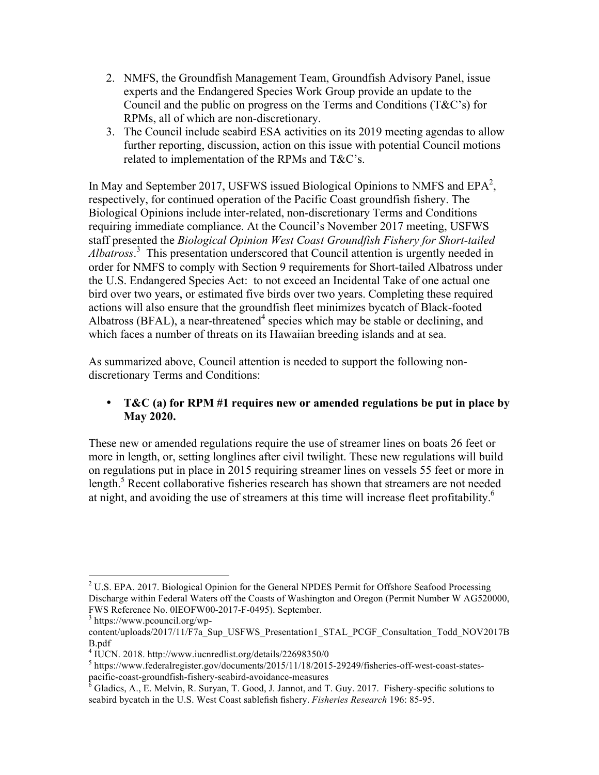- 2. NMFS, the Groundfish Management Team, Groundfish Advisory Panel, issue experts and the Endangered Species Work Group provide an update to the Council and the public on progress on the Terms and Conditions (T&C's) for RPMs, all of which are non-discretionary.
- 3. The Council include seabird ESA activities on its 2019 meeting agendas to allow further reporting, discussion, action on this issue with potential Council motions related to implementation of the RPMs and T&C's.

In May and September 2017, USFWS issued Biological Opinions to NMFS and  $EPA<sup>2</sup>$ , respectively, for continued operation of the Pacific Coast groundfish fishery. The Biological Opinions include inter-related, non-discretionary Terms and Conditions requiring immediate compliance. At the Council's November 2017 meeting, USFWS staff presented the *Biological Opinion West Coast Groundfish Fishery for Short-tailed Albatross*. 3 This presentation underscored that Council attention is urgently needed in order for NMFS to comply with Section 9 requirements for Short-tailed Albatross under the U.S. Endangered Species Act: to not exceed an Incidental Take of one actual one bird over two years, or estimated five birds over two years. Completing these required actions will also ensure that the groundfish fleet minimizes bycatch of Black-footed Albatross (BFAL), a near-threatened<sup>4</sup> species which may be stable or declining, and which faces a number of threats on its Hawaiian breeding islands and at sea.

As summarized above, Council attention is needed to support the following nondiscretionary Terms and Conditions:

## • **T&C (a) for RPM #1 requires new or amended regulations be put in place by May 2020.**

These new or amended regulations require the use of streamer lines on boats 26 feet or more in length, or, setting longlines after civil twilight. These new regulations will build on regulations put in place in 2015 requiring streamer lines on vessels 55 feet or more in length.<sup>5</sup> Recent collaborative fisheries research has shown that streamers are not needed at night, and avoiding the use of streamers at this time will increase fleet profitability.<sup>6</sup>

 $2^2$  U.S. EPA. 2017. Biological Opinion for the General NPDES Permit for Offshore Seafood Processing Discharge within Federal Waters off the Coasts of Washington and Oregon (Permit Number W AG520000, FWS Reference No. 0lEOFW00-2017-F-0495). September. <sup>3</sup> https://www.pcouncil.org/wp-

content/uploads/2017/11/F7a\_Sup\_USFWS\_Presentation1\_STAL\_PCGF\_Consultation\_Todd\_NOV2017B B.pdf

<sup>4</sup> IUCN. 2018. http://www.iucnredlist.org/details/22698350/0

<sup>&</sup>lt;sup>5</sup> https://www.federalregister.gov/documents/2015/11/18/2015-29249/fisheries-off-west-coast-states-<br>pacific-coast-groundfish-fishery-seabird-avoidance-measures<br> $\frac{6}{5}$ Cladisc  $\frac{4}{5}$ 

 $p^6$  Gladics, A., E. Melvin, R. Suryan, T. Good, J. Jannot, and T. Guy. 2017. Fishery-specific solutions to seabird bycatch in the U.S. West Coast sablefish fishery. *Fisheries Research* 196: 85-95.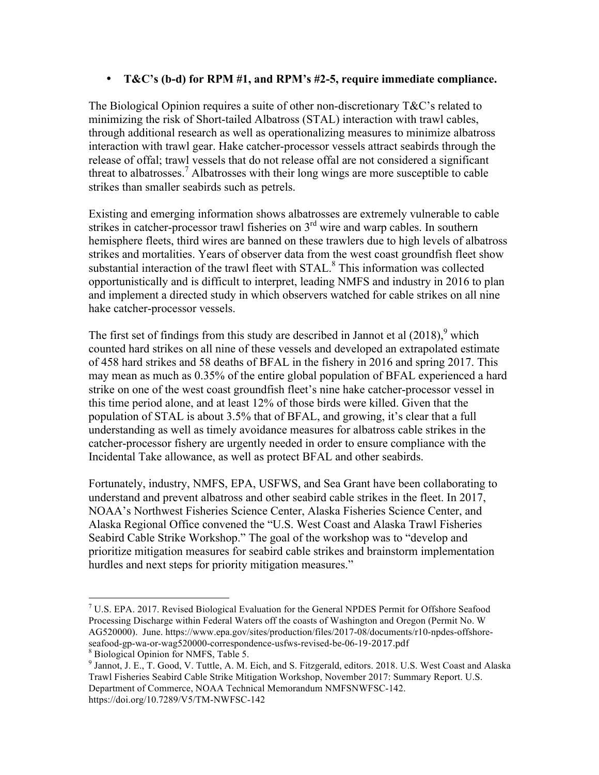## • **T&C's (b-d) for RPM #1, and RPM's #2-5, require immediate compliance.**

The Biological Opinion requires a suite of other non-discretionary T&C's related to minimizing the risk of Short-tailed Albatross (STAL) interaction with trawl cables, through additional research as well as operationalizing measures to minimize albatross interaction with trawl gear. Hake catcher-processor vessels attract seabirds through the release of offal; trawl vessels that do not release offal are not considered a significant threat to albatrosses.<sup>7</sup> Albatrosses with their long wings are more susceptible to cable strikes than smaller seabirds such as petrels.

Existing and emerging information shows albatrosses are extremely vulnerable to cable strikes in catcher-processor trawl fisheries on 3<sup>rd</sup> wire and warp cables. In southern hemisphere fleets, third wires are banned on these trawlers due to high levels of albatross strikes and mortalities. Years of observer data from the west coast groundfish fleet show substantial interaction of the trawl fleet with STAL. <sup>8</sup> This information was collected opportunistically and is difficult to interpret, leading NMFS and industry in 2016 to plan and implement a directed study in which observers watched for cable strikes on all nine hake catcher-processor vessels.

The first set of findings from this study are described in Jannot et al  $(2018)$ , which counted hard strikes on all nine of these vessels and developed an extrapolated estimate of 458 hard strikes and 58 deaths of BFAL in the fishery in 2016 and spring 2017. This may mean as much as 0.35% of the entire global population of BFAL experienced a hard strike on one of the west coast groundfish fleet's nine hake catcher-processor vessel in this time period alone, and at least 12% of those birds were killed. Given that the population of STAL is about 3.5% that of BFAL, and growing, it's clear that a full understanding as well as timely avoidance measures for albatross cable strikes in the catcher-processor fishery are urgently needed in order to ensure compliance with the Incidental Take allowance, as well as protect BFAL and other seabirds.

Fortunately, industry, NMFS, EPA, USFWS, and Sea Grant have been collaborating to understand and prevent albatross and other seabird cable strikes in the fleet. In 2017, NOAA's Northwest Fisheries Science Center, Alaska Fisheries Science Center, and Alaska Regional Office convened the "U.S. West Coast and Alaska Trawl Fisheries Seabird Cable Strike Workshop." The goal of the workshop was to "develop and prioritize mitigation measures for seabird cable strikes and brainstorm implementation hurdles and next steps for priority mitigation measures."

 $7 \text{ U.S. EPA. } 2017$ . Revised Biological Evaluation for the General NPDES Permit for Offshore Seafood Processing Discharge within Federal Waters off the coasts of Washington and Oregon (Permit No. W AG520000). June. https://www.epa.gov/sites/production/files/2017-08/documents/r10-npdes-offshoreseafood-gp-wa-or-wag520000-correspondence-usfws-revised-be-06-19-2017.pdf <sup>8</sup> Biological Opinion for NMFS, Table 5.

<sup>9</sup> Jannot, J. E., T. Good, V. Tuttle, A. M. Eich, and S. Fitzgerald, editors. 2018. U.S. West Coast and Alaska Trawl Fisheries Seabird Cable Strike Mitigation Workshop, November 2017: Summary Report. U.S. Department of Commerce, NOAA Technical Memorandum NMFSNWFSC-142. https://doi.org/10.7289/V5/TM-NWFSC-142